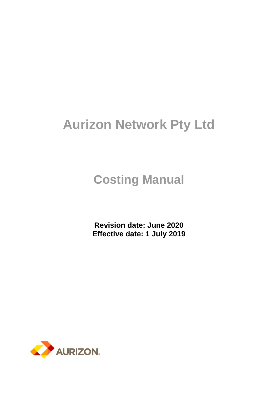# **Aurizon Network Pty Ltd**

# **Costing Manual**

**Revision date: June 2020 Effective date: 1 July 2019**

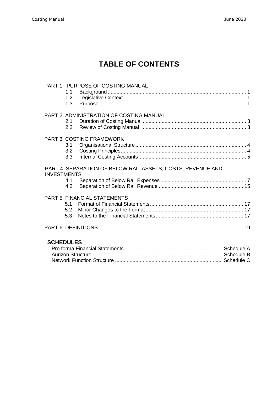# **TABLE OF CONTENTS**

|                    | 1.1                            | PART 1. PURPOSE OF COSTING MANUAL                           |  |
|--------------------|--------------------------------|-------------------------------------------------------------|--|
|                    | 1.2<br>1.3                     |                                                             |  |
|                    | 2.1<br>2.2                     | PART 2. ADMINISTRATION OF COSTING MANUAL                    |  |
|                    | 3.1<br>3.2<br>3.3 <sub>1</sub> | <b>PART 3. COSTING FRAMEWORK</b>                            |  |
| <b>INVESTMENTS</b> |                                | PART 4. SEPARATION OF BELOW RAIL ASSETS, COSTS, REVENUE AND |  |
|                    | 4.1<br>4.2                     |                                                             |  |
|                    | 5.1<br>5.2<br>5.3              | <b>PART 5. FINANCIAL STATEMENTS</b>                         |  |
|                    |                                |                                                             |  |
| <b>SCHEDULES</b>   |                                |                                                             |  |
|                    |                                |                                                             |  |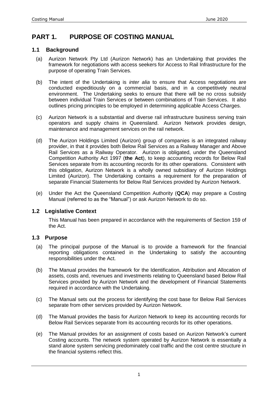### **PART 1. PURPOSE OF COSTING MANUAL**

#### **1.1 Background**

- (a) Aurizon Network Pty Ltd (Aurizon Network) has an Undertaking that provides the framework for negotiations with access seekers for Access to Rail Infrastructure for the purpose of operating Train Services.
- (b) The intent of the Undertaking is *inter alia* to ensure that Access negotiations are conducted expeditiously on a commercial basis, and in a competitively neutral environment. The Undertaking seeks to ensure that there will be no cross subsidy between individual Train Services or between combinations of Train Services. It also outlines pricing principles to be employed in determining applicable Access Charges.
- (c) Aurizon Network is a substantial and diverse rail infrastructure business serving train operators and supply chains in Queensland. Aurizon Network provides design, maintenance and management services on the rail network.
- (d) The Aurizon Holdings Limited (Aurizon) group of companies is an integrated railway provider, in that it provides both Below Rail Services as a Railway Manager and Above Rail Services as a Railway Operator. Aurizon is obligated, under the Queensland Competition Authority Act 1997 (**the Act**), to keep accounting records for Below Rail Services separate from its accounting records for its other operations. Consistent with this obligation, Aurizon Network is a wholly owned subsidiary of Aurizon Holdings Limited (Aurizon). The Undertaking contains a requirement for the preparation of separate Financial Statements for Below Rail Services provided by Aurizon Network.
- (e) Under the Act the Queensland Competition Authority (**QCA**) may prepare a Costing Manual (referred to as the "Manual") or ask Aurizon Network to do so.

#### **1.2 Legislative Context**

This Manual has been prepared in accordance with the requirements of Section 159 of the Act.

#### **1.3 Purpose**

- (a) The principal purpose of the Manual is to provide a framework for the financial reporting obligations contained in the Undertaking to satisfy the accounting responsibilities under the Act.
- (b) The Manual provides the framework for the Identification, Attribution and Allocation of assets, costs and, revenues and investments relating to Queensland based Below Rail Services provided by Aurizon Network and the development of Financial Statements required in accordance with the Undertaking.
- (c) The Manual sets out the process for identifying the cost base for Below Rail Services separate from other services provided by Aurizon Network.
- (d) The Manual provides the basis for Aurizon Network to keep its accounting records for Below Rail Services separate from its accounting records for its other operations.
- (e) The Manual provides for an assignment of costs based on Aurizon Network's current Costing accounts. The network system operated by Aurizon Network is essentially a stand alone system servicing predominately coal traffic and the cost centre structure in the financial systems reflect this.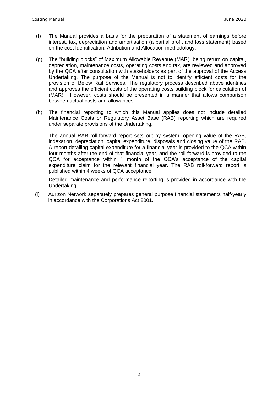- (f) The Manual provides a basis for the preparation of a statement of earnings before interest, tax, depreciation and amortisation (a partial profit and loss statement) based on the cost Identification, Attribution and Allocation methodology.
- (g) The "building blocks" of Maximum Allowable Revenue (MAR), being return on capital, depreciation, maintenance costs, operating costs and tax, are reviewed and approved by the QCA after consultation with stakeholders as part of the approval of the Access Undertaking. The purpose of the Manual is not to identify efficient costs for the provision of Below Rail Services. The regulatory process described above identifies and approves the efficient costs of the operating costs building block for calculation of (MAR). However, costs should be presented in a manner that allows comparison between actual costs and allowances.
- (h) The financial reporting to which this Manual applies does not include detailed Maintenance Costs or Regulatory Asset Base (RAB) reporting which are required under separate provisions of the Undertaking.

The annual RAB roll-forward report sets out by system: opening value of the RAB, indexation, depreciation, capital expenditure, disposals and closing value of the RAB. A report detailing capital expenditure for a financial year is provided to the QCA within four months after the end of that financial year, and the roll forward is provided to the QCA for acceptance within 1 month of the QCA's acceptance of the capital expenditure claim for the relevant financial year. The RAB roll-forward report is published within 4 weeks of QCA acceptance.

Detailed maintenance and performance reporting is provided in accordance with the Undertaking.

(i) Aurizon Network separately prepares general purpose financial statements half-yearly in accordance with the Corporations Act 2001.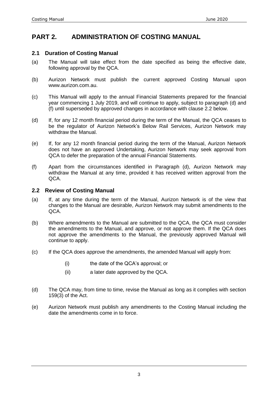### **PART 2. ADMINISTRATION OF COSTING MANUAL**

#### **2.1 Duration of Costing Manual**

- (a) The Manual will take effect from the date specified as being the effective date, following approval by the QCA.
- (b) Aurizon Network must publish the current approved Costing Manual upon www.aurizon.com.au.
- (c) This Manual will apply to the annual Financial Statements prepared for the financial year commencing 1 July 2019, and will continue to apply, subject to paragraph (d) and (f) until superseded by approved changes in accordance with clause 2.2 below.
- (d) If, for any 12 month financial period during the term of the Manual, the QCA ceases to be the regulator of Aurizon Network's Below Rail Services, Aurizon Network may withdraw the Manual.
- (e) If, for any 12 month financial period during the term of the Manual, Aurizon Network does not have an approved Undertaking, Aurizon Network may seek approval from QCA to defer the preparation of the annual Financial Statements.
- (f) Apart from the circumstances identified in Paragraph (d), Aurizon Network may withdraw the Manual at any time, provided it has received written approval from the QCA.

#### **2.2 Review of Costing Manual**

- (a) If, at any time during the term of the Manual, Aurizon Network is of the view that changes to the Manual are desirable, Aurizon Network may submit amendments to the QCA.
- (b) Where amendments to the Manual are submitted to the QCA, the QCA must consider the amendments to the Manual, and approve, or not approve them. If the QCA does not approve the amendments to the Manual, the previously approved Manual will continue to apply.
- (c) If the QCA does approve the amendments, the amended Manual will apply from:
	- (i) the date of the QCA's approval; or
	- (ii) a later date approved by the QCA.
- (d) The QCA may, from time to time, revise the Manual as long as it complies with section 159(3) of the Act.
- (e) Aurizon Network must publish any amendments to the Costing Manual including the date the amendments come in to force.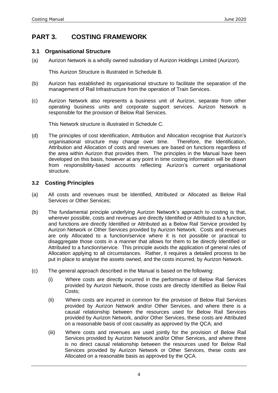### **PART 3. COSTING FRAMEWORK**

#### **3.1 Organisational Structure**

(a) Aurizon Network is a wholly owned subsidiary of Aurizon Holdings Limited (Aurizon).

This Aurizon Structure is illustrated in Schedule B.

- (b) Aurizon has established its organisational structure to facilitate the separation of the management of Rail Infrastructure from the operation of Train Services.
- (c) Aurizon Network also represents a business unit of Aurizon, separate from other operating business units and corporate support services. Aurizon Network is responsible for the provision of Below Rail Services.

This Network structure is illustrated in Schedule C.

(d) The principles of cost Identification, Attribution and Allocation recognise that Aurizon's organisational structure may change over time. Therefore, the Identification, Attribution and Allocation of costs and revenues are based on functions regardless of the area within Aurizon that provides them. The principles in the Manual have been developed on this basis, however at any point in time costing information will be drawn from responsibility-based accounts reflecting Aurizon's current organisational structure.

#### **3.2 Costing Principles**

- (a) All costs and revenues must be Identified, Attributed or Allocated as Below Rail Services or Other Services;
- (b) The fundamental principle underlying Aurizon Network's approach to costing is that, wherever possible, costs and revenues are directly Identified or Attributed to a function, and functions are directly Identified or Attributed as a Below Rail Service provided by Aurizon Network or Other Services provided by Aurizon Network. Costs and revenues are only Allocated to a function/service where it is not possible or practical to disaggregate those costs in a manner that allows for them to be directly Identified or Attributed to a function/service. This principle avoids the application of general rules of Allocation applying to all circumstances. Rather, it requires a detailed process to be put in place to analyse the assets owned, and the costs incurred, by Aurizon Network.
- (c) The general approach described in the Manual is based on the following:
	- (i) Where costs are directly incurred in the performance of Below Rail Services provided by Aurizon Network, those costs are directly Identified as Below Rail Costs;
	- (ii) Where costs are incurred in common for the provision of Below Rail Services provided by Aurizon Network and/or Other Services, and where there is a causal relationship between the resources used for Below Rail Services provided by Aurizon Network, and/or Other Services, these costs are Attributed on a reasonable basis of cost causality as approved by the QCA; and
	- (iii) Where costs and revenues are used jointly for the provision of Below Rail Services provided by Aurizon Network and/or Other Services, and where there is no direct causal relationship between the resources used for Below Rail Services provided by Aurizon Network or Other Services, these costs are Allocated on a reasonable basis as approved by the QCA.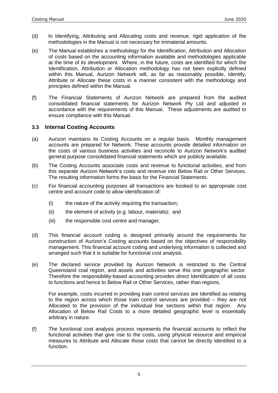- (d) In Identifying, Attributing and Allocating costs and revenue, rigid application of the methodologies in the Manual is not necessary for immaterial amounts.
- (e) The Manual establishes a methodology for the Identification, Attribution and Allocation of costs based on the accounting information available and methodologies applicable at the time of its development. Where, in the future, costs are identified for which the Identification, Attribution or Allocation methodology has not been explicitly defined within this Manual, Aurizon Network will, as far as reasonably possible, Identify, Attribute or Allocate these costs in a manner consistent with the methodology and principles defined within the Manual.
- (f) The Financial Statements of Aurizon Network are prepared from the audited consolidated financial statements for Aurizon Network Pty Ltd and adjusted in accordance with the requirements of this Manual. These adjustments are audited to ensure compliance with this Manual.

#### **3.3 Internal Costing Accounts**

- (a) Aurizon maintains its Costing Accounts on a regular basis. Monthly management accounts are prepared for Network. These accounts provide detailed information on the costs of various business activities and reconcile to Aurizon Network's audited general purpose consolidated financial statements which are publicly available.
- (b) The Costing Accounts associate costs and revenue to functional activities, and from this separate Aurizon Network's costs and revenue into Below Rail or Other Services. The resulting information forms the basis for the Financial Statements.
- (c) For financial accounting purposes all transactions are booked to an appropriate cost centre and account code to allow identification of:
	- (i) the nature of the activity requiring the transaction;
	- (ii) the element of activity (e.g. labour, materials); and
	- (iii) the responsible cost centre and manager.
- (d) This financial account coding is designed primarily around the requirements for construction of Aurizon's Costing accounts based on the objectives of responsibility management. This financial account coding and underlying information is collected and arranged such that it is suitable for functional cost analysis.
- (e) The declared service provided by Aurizon Network is restricted to the Central Queensland coal region, and assets and activities serve this one geographic sector. Therefore the responsibility-based accounting provides direct Identification of all costs to functions and hence to Below Rail or Other Services, rather than regions.

For example, costs incurred in providing train control services are Identified as relating to the region across which those train control services are provided – they are not Allocated to the provision of the individual line sections within that region. Any Allocation of Below Rail Costs to a more detailed geographic level is essentially arbitrary in nature.

(f) The functional cost analysis process represents the financial accounts to reflect the functional activities that give rise to the costs, using physical resource and empirical measures to Attribute and Allocate those costs that cannot be directly Identified to a function.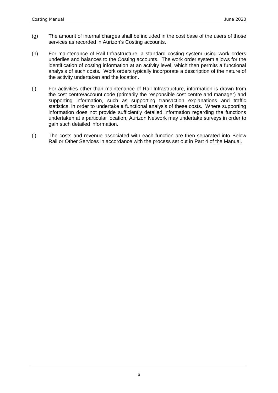- (g) The amount of internal charges shall be included in the cost base of the users of those services as recorded in Aurizon's Costing accounts.
- (h) For maintenance of Rail Infrastructure, a standard costing system using work orders underlies and balances to the Costing accounts. The work order system allows for the identification of costing information at an activity level, which then permits a functional analysis of such costs. Work orders typically incorporate a description of the nature of the activity undertaken and the location.
- (i) For activities other than maintenance of Rail Infrastructure, information is drawn from the cost centre/account code (primarily the responsible cost centre and manager) and supporting information, such as supporting transaction explanations and traffic statistics, in order to undertake a functional analysis of these costs. Where supporting information does not provide sufficiently detailed information regarding the functions undertaken at a particular location, Aurizon Network may undertake surveys in order to gain such detailed information.
- (j) The costs and revenue associated with each function are then separated into Below Rail or Other Services in accordance with the process set out in Part 4 of the Manual.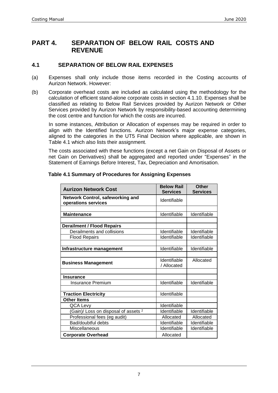### **PART 4. SEPARATION OF BELOW RAIL COSTS AND REVENUE**

#### **4.1 SEPARATION OF BELOW RAIL EXPENSES**

- (a) Expenses shall only include those items recorded in the Costing accounts of Aurizon Network. However:
- (b) Corporate overhead costs are included as calculated using the methodology for the calculation of efficient stand-alone corporate costs in section 4.1.10. Expenses shall be classified as relating to Below Rail Services provided by Aurizon Network or Other Services provided by Aurizon Network by responsibility-based accounting determining the cost centre and function for which the costs are incurred.

In some instances, Attribution or Allocation of expenses may be required in order to align with the Identified functions. Aurizon Network's major expense categories, aligned to the categories in the UT5 Final Decision where applicable, are shown in Table 4.1 which also lists their assignment.

The costs associated with these functions (except a net Gain on Disposal of Assets or net Gain on Derivatives) shall be aggregated and reported under "Expenses" in the Statement of Earnings Before Interest, Tax, Depreciation and Amortisation.

| <b>Aurizon Network Cost</b>                                    | <b>Below Rail</b><br><b>Services</b> | <b>Other</b><br><b>Services</b> |
|----------------------------------------------------------------|--------------------------------------|---------------------------------|
| <b>Network Control, safeworking and</b><br>operations services | Identifiable                         |                                 |
|                                                                |                                      |                                 |
| <b>Maintenance</b>                                             | Identifiable                         | Identifiable                    |
|                                                                |                                      |                                 |
| <b>Derailment / Flood Repairs</b>                              |                                      |                                 |
| Derailments and collisions                                     | Identifiable                         | Identifiable                    |
| <b>Flood Repairs</b>                                           | Identifiable                         | Identifiable                    |
| Infrastructure management                                      | Identifiable                         | Identifiable                    |
| <b>Business Management</b>                                     | Identifiable<br>/ Allocated          | Allocated                       |
| <b>Insurance</b>                                               |                                      |                                 |
| <b>Insurance Premium</b>                                       | Identifiable                         | Identifiable                    |
| <b>Traction Electricity</b>                                    | Identifiable                         |                                 |
| <b>Other Items</b>                                             |                                      |                                 |
| QCA Levy                                                       | Identifiable                         |                                 |
| (Gain)/ Loss on disposal of assets <sup>2</sup>                | Identifiable                         | Identifiable                    |
| Professional fees (eg audit)                                   | Allocated                            | Allocated                       |
| Bad/doubtful debts                                             | Identifiable                         | Identifiable                    |
| Miscellaneous                                                  | Identifiable                         | Identifiable                    |
| <b>Corporate Overhead</b>                                      | Allocated                            |                                 |

#### **Table 4.1 Summary of Procedures for Assigning Expenses**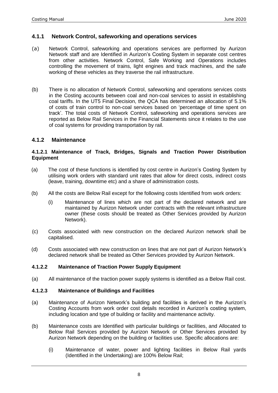#### **4.1.1 Network Control, safeworking and operations services**

- (a) Network Control, safeworking and operations services are performed by Aurizon Network staff and are Identified in Aurizon's Costing System in separate cost centres from other activities. Network Control, Safe Working and Operations includes controlling the movement of trains, light engines and track machines, and the safe working of these vehicles as they traverse the rail infrastructure.
- (b) There is no allocation of Network Control, safeworking and operations services costs in the Costing accounts between coal and non-coal services to assist in establishing coal tariffs. In the UT5 Final Decision, the QCA has determined an allocation of 5.1% of costs of train control to non-coal services based on 'percentage of time spent on track'. The total costs of Network Control, safeworking and operations services are reported as Below Rail Services in the Financial Statements since it relates to the use of coal systems for providing transportation by rail.

#### **4.1.2 Maintenance**

#### **4.1.2.1 Maintenance of Track, Bridges, Signals and Traction Power Distribution Equipment**

- (a) The cost of these functions is identified by cost centre in Aurizon's Costing System by utilising work orders with standard unit rates that allow for direct costs, indirect costs (leave, training, downtime etc) and a share of administration costs.
- (b) All the costs are Below Rail except for the following costs Identified from work orders:
	- (i) Maintenance of lines which are not part of the declared network and are maintained by Aurizon Network under contracts with the relevant infrastructure owner (these costs should be treated as Other Services provided by Aurizon Network).
- (c) Costs associated with new construction on the declared Aurizon network shall be capitalised.
- (d) Costs associated with new construction on lines that are not part of Aurizon Network's declared network shall be treated as Other Services provided by Aurizon Network.

#### **4.1.2.2 Maintenance of Traction Power Supply Equipment**

(a) All maintenance of the traction power supply systems is identified as a Below Rail cost.

#### **4.1.2.3 Maintenance of Buildings and Facilities**

- (a) Maintenance of Aurizon Network's building and facilities is derived in the Aurizon's Costing Accounts from work order cost details recorded in Aurizon's costing system, including location and type of building or facility and maintenance activity.
- (b) Maintenance costs are Identified with particular buildings or facilities, and Allocated to Below Rail Services provided by Aurizon Network or Other Services provided by Aurizon Network depending on the building or facilities use. Specific allocations are:
	- (i) Maintenance of water, power and lighting facilities in Below Rail yards (Identified in the Undertaking) are 100% Below Rail;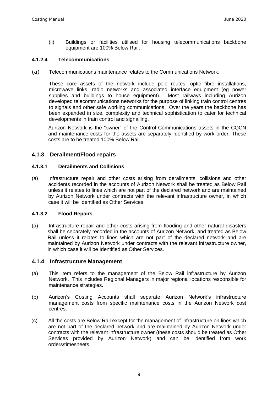(ii) Buildings or facilities utilised for housing telecommunications backbone equipment are 100% Below Rail;

#### **4.1.2.4 Telecommunications**

(a) Telecommunications maintenance relates to the Communications Network.

These core assets of the network include pole routes, optic fibre installations, microwave links, radio networks and associated interface equipment (eg power supplies and buildings to house equipment). Most railways including Aurizon supplies and buildings to house equipment). developed telecommunications networks for the purpose of linking train control centres to signals and other safe working communications. Over the years the backbone has been expanded in size, complexity and technical sophistication to cater for technical developments in train control and signalling.

Aurizon Network is the "owner" of the Control Communications assets in the CQCN and maintenance costs for the assets are separately Identified by work order. These costs are to be treated 100% Below Rail.

#### **4.1.3 Derailment/Flood repairs**

#### **4.1.3.1 Derailments and Collisions**

(a) Infrastructure repair and other costs arising from derailments, collisions and other accidents recorded in the accounts of Aurizon Network shall be treated as Below Rail unless it relates to lines which are not part of the declared network and are maintained by Aurizon Network under contracts with the relevant infrastructure owner, in which case it will be Identified as Other Services.

#### **4.1.3.2 Flood Repairs**

(a) Infrastructure repair and other costs arising from flooding and other natural disasters shall be separately recorded in the accounts of Aurizon Network, and treated as Below Rail unless it relates to lines which are not part of the declared network and are maintained by Aurizon Network under contracts with the relevant infrastructure owner, in which case it will be Identified as Other Services.

#### **4.1.4 Infrastructure Management**

- (a) This item refers to the management of the Below Rail infrastructure by Aurizon Network. This includes Regional Managers in major regional locations responsible for maintenance strategies.
- (b) Aurizon's Costing Accounts shall separate Aurizon Network's infrastructure management costs from specific maintenance costs in the Aurizon Network cost centres.
- (c) All the costs are Below Rail except for the management of infrastructure on lines which are not part of the declared network and are maintained by Aurizon Network under contracts with the relevant infrastructure owner (these costs should be treated as Other Services provided by Aurizon Network) and can be identified from work orders/timesheets.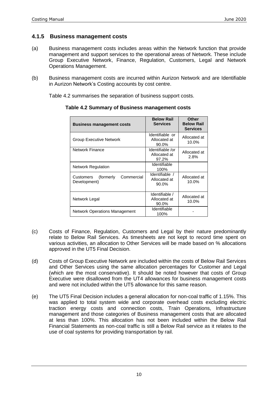#### **4.1.5 Business management costs**

- (a) Business management costs includes areas within the Network function that provide management and support services to the operational areas of Network. These include Group Executive Network, Finance, Regulation, Customers, Legal and Network Operations Management.
- (b) Business management costs are incurred within Aurizon Network and are Identifiable in Aurizon Network's Costing accounts by cost centre.

Table 4.2 summarises the separation of business support costs.

| <b>Business management costs</b>                      | <b>Below Rail</b><br><b>Services</b>      | <b>Other</b><br><b>Below Rail</b><br><b>Services</b> |
|-------------------------------------------------------|-------------------------------------------|------------------------------------------------------|
| <b>Group Executive Network</b>                        | Identifiable or<br>Allocated at<br>90.0%  | Allocated at<br>10.0%                                |
| Network Finance                                       | Identifiable /or<br>Allocated at<br>97.2% | Allocated at<br>2.8%                                 |
| <b>Network Regulation</b>                             | Identifiable<br>100%                      |                                                      |
| Commercial<br>(formerly)<br>Customers<br>Development) | Identifiable /<br>Allocated at<br>90.0%   | Allocated at<br>10.0%                                |
| Network Legal                                         | Identifiable /<br>Allocated at<br>90.0%   | Allocated at<br>10.0%                                |
| <b>Network Operations Management</b>                  | Identifiable<br>100%                      |                                                      |

**Table 4.2 Summary of Business management costs**

- (c) Costs of Finance, Regulation, Customers and Legal by their nature predominantly relate to Below Rail Services. As timesheets are not kept to record time spent on various activities, an allocation to Other Services will be made based on % allocations approved in the UT5 Final Decision.
- (d) Costs of Group Executive Network are included within the costs of Below Rail Services and Other Services using the same allocation percentages for Customer and Legal (which are the most conservative). It should be noted however that costs of Group Executive were disallowed from the UT4 allowances for business management costs and were not included within the UT5 allowance for this same reason.
- (e) The UT5 Final Decision includes a general allocation for non-coal traffic of 1.15%. This was applied to total system wide and corporate overhead costs excluding electric traction energy costs and connection costs, Train Operations, Infrastructure management and those categories of Business management costs that are allocated at less than 100%. This allocation has not been included within the Below Rail Financial Statements as non-coal traffic is still a Below Rail service as it relates to the use of coal systems for providing transportation by rail.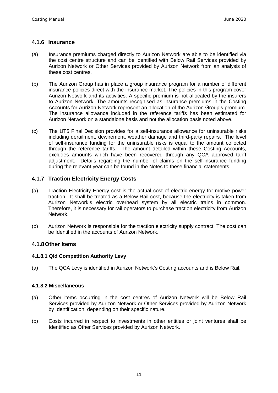#### **4.1.6 Insurance**

- (a) Insurance premiums charged directly to Aurizon Network are able to be identified via the cost centre structure and can be identified with Below Rail Services provided by Aurizon Network or Other Services provided by Aurizon Network from an analysis of these cost centres.
- (b) The Aurizon Group has in place a group insurance program for a number of different insurance policies direct with the insurance market. The policies in this program cover Aurizon Network and its activities. A specific premium is not allocated by the insurers to Aurizon Network. The amounts recognised as insurance premiums in the Costing Accounts for Aurizon Network represent an allocation of the Aurizon Group's premium. The insurance allowance included in the reference tariffs has been estimated for Aurizon Network on a standalone basis and not the allocation basis noted above.
- (c) The UT5 Final Decision provides for a self-insurance allowance for uninsurable risks including derailment, dewirement, weather damage and third-party repairs. The level of self-insurance funding for the uninsurable risks is equal to the amount collected through the reference tariffs. The amount detailed within these Costing Accounts, excludes amounts which have been recovered through any QCA approved tariff adjustment. Details regarding the number of claims on the self-insurance funding during the relevant year can be found in the Notes to these financial statements.

#### **4.1.7 Traction Electricity Energy Costs**

- (a) Traction Electricity Energy cost is the actual cost of electric energy for motive power traction. It shall be treated as a Below Rail cost, because the electricity is taken from Aurizon Network's electric overhead system by all electric trains in common. Therefore, it is necessary for rail operators to purchase traction electricity from Aurizon Network.
- (b) Aurizon Network is responsible for the traction electricity supply contract. The cost can be Identified in the accounts of Aurizon Network.

#### **4.1.8Other Items**

#### **4.1.8.1 Qld Competition Authority Levy**

(a) The QCA Levy is identified in Aurizon Network's Costing accounts and is Below Rail.

#### **4.1.8.2 Miscellaneous**

- (a) Other items occurring in the cost centres of Aurizon Network will be Below Rail Services provided by Aurizon Network or Other Services provided by Aurizon Network by Identification, depending on their specific nature.
- (b) Costs incurred in respect to investments in other entities or joint ventures shall be Identified as Other Services provided by Aurizon Network.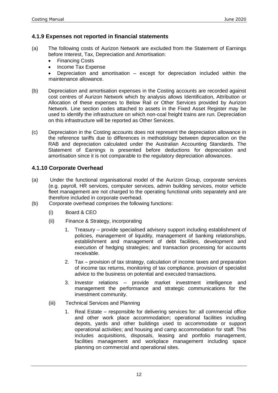#### **4.1.9 Expenses not reported in financial statements**

- (a) The following costs of Aurizon Network are excluded from the Statement of Earnings before Interest, Tax, Depreciation and Amortisation:
	- Financing Costs
	- Income Tax Expense
	- Depreciation and amortisation except for depreciation included within the maintenance allowance.
- (b) Depreciation and amortisation expenses in the Costing accounts are recorded against cost centres of Aurizon Network which by analysis allows Identification, Attribution or Allocation of these expenses to Below Rail or Other Services provided by Aurizon Network. Line section codes attached to assets in the Fixed Asset Register may be used to identify the infrastructure on which non-coal freight trains are run. Depreciation on this infrastructure will be reported as Other Services.
- (c) Depreciation in the Costing accounts does not represent the depreciation allowance in the reference tariffs due to differences in methodology between depreciation on the RAB and depreciation calculated under the Australian Accounting Standards. The Statement of Earnings is presented before deductions for depreciation and amortisation since it is not comparable to the regulatory depreciation allowances.

#### **4.1.10 Corporate Overhead**

- (a) Under the functional organisational model of the Aurizon Group, corporate services (e.g. payroll, HR services, computer services, admin building services, motor vehicle fleet management are not charged to the operating functional units separately and are therefore included in corporate overhead.
- (b) Corporate overhead comprises the following functions:
	- (i) Board & CEO
	- (ii) Finance & Strategy, incorporating
		- 1. Treasury provide specialised advisory support including establishment of policies, management of liquidity, management of banking relationships, establishment and management of debt facilities, development and execution of hedging strategies; and transaction processing for accounts receivable.
		- 2. Tax provision of tax strategy, calculation of income taxes and preparation of income tax returns, monitoring of tax compliance, provision of specialist advice to the business on potential and executed transactions.
		- 3. Investor relations provide market investment intelligence and management the performance and strategic communications for the investment community.
	- (iii) Technical Services and Planning
		- 1. Real Estate responsible for delivering services for: all commercial office and other work place accommodation; operational facilities including depots, yards and other buildings used to accommodate or support operational activities; and housing and camp accommodation for staff. This includes acquisitions, disposals, leasing and portfolio management, facilities management and workplace management including space planning on commercial and operational sites.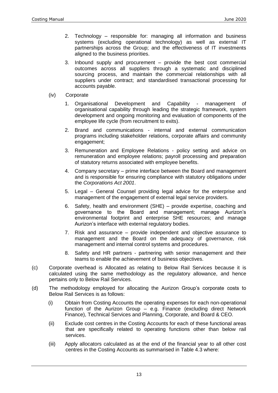- 2. Technology responsible for: managing all information and business systems (excluding operational technology) as well as external IT partnerships across the Group; and the effectiveness of IT investments aligned to the business priorities.
- 3. Inbound supply and procurement provide the best cost commercial outcomes across all suppliers through a systematic and disciplined sourcing process, and maintain the commercial relationships with all suppliers under contract; and standardised transactional processing for accounts payable.
- (iv) Corporate
	- 1. Organisational Development and Capability management of organisational capability through leading the strategic framework, system development and ongoing monitoring and evaluation of components of the employee life cycle (from recruitment to exits).
	- 2. Brand and communications internal and external communication programs including stakeholder relations, corporate affairs and community engagement;
	- 3. Remuneration and Employee Relations policy setting and advice on remuneration and employee relations; payroll processing and preparation of statutory returns associated with employee benefits.
	- 4. Company secretary prime interface between the Board and management and is responsible for ensuring compliance with statutory obligations under the *Corporations Act 2001*.
	- 5. Legal General Counsel providing legal advice for the enterprise and management of the engagement of external legal service providers.
	- 6. Safety, health and environment (SHE) provide expertise, coaching and governance to the Board and management; manage Aurizon's environmental footprint and enterprise SHE resources; and manage Aurizon's interface with external regulatory bodies.
	- 7. Risk and assurance provide independent and objective assurance to management and the Board on the adequacy of governance, risk management and internal control systems and procedures.
	- 8. Safety and HR partners partnering with senior management and their teams to enable the achievement of business objectives.
- (c) Corporate overhead is Allocated as relating to Below Rail Services because it is calculated using the same methodology as the regulatory allowance, and hence pertains only to Below Rail Services.
- (d) The methodology employed for allocating the Aurizon Group's corporate costs to Below Rail Services is as follows:
	- (i) Obtain from Costing Accounts the operating expenses for each non-operational function of the Aurizon Group – e.g. Finance (excluding direct Network Finance), Technical Services and Planning, Corporate, and Board & CEO.
	- (ii) Exclude cost centres in the Costing Accounts for each of these functional areas that are specifically related to operating functions other than below rail services.
	- (iii) Apply allocators calculated as at the end of the financial year to all other cost centres in the Costing Accounts as summarised in Table 4.3 where: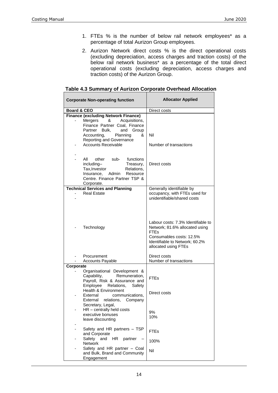- 1. FTEs % is the number of below rail network employees\* as a percentage of total Aurizon Group employees.
- 2. Aurizon Network direct costs % is the direct operational costs (excluding depreciation, access charges and traction costs) of the below rail network business<sup>\*</sup> as a percentage of the total direct operational costs (excluding depreciation, access charges and traction costs) of the Aurizon Group.

| <b>Corporate Non-operating function</b>                                                                                                                                                                                                 | <b>Allocator Applied</b>                                                                                                                                                  |  |
|-----------------------------------------------------------------------------------------------------------------------------------------------------------------------------------------------------------------------------------------|---------------------------------------------------------------------------------------------------------------------------------------------------------------------------|--|
| <b>Board &amp; CEO</b>                                                                                                                                                                                                                  | Direct costs                                                                                                                                                              |  |
| <b>Finance (excluding Network Finance)</b><br>Acquisitions,<br>Mergers<br>&<br>Finance Partner Coal, Finance<br>Partner Bulk,<br>and<br>Group<br>Planning<br>Accounting,<br>&<br>Reporting and Governance<br><b>Accounts Receivable</b> | Nil<br>Number of transactions                                                                                                                                             |  |
| All<br>other<br>functions<br>sub-<br>including-<br>Treasury,<br>Tax, Investor<br>Relations,<br>Insurance,<br>Resource<br>Admin<br>Centre. Finance Partner TSP &<br>Corporate.                                                           | Direct costs                                                                                                                                                              |  |
| <b>Technical Services and Planning</b>                                                                                                                                                                                                  | Generally identifiable by                                                                                                                                                 |  |
| <b>Real Estate</b>                                                                                                                                                                                                                      | occupancy, with FTEs used for<br>unidentifiable/shared costs                                                                                                              |  |
| Technology                                                                                                                                                                                                                              | Labour costs: 7.3% Identifiable to<br>Network; 81.6% allocated using<br><b>FTEs</b><br>Consumables costs: 12.5%<br>Identifiable to Network; 60.2%<br>allocated using FTEs |  |
| Procurement<br><b>Accounts Payable</b>                                                                                                                                                                                                  | Direct costs<br>Number of transactions                                                                                                                                    |  |
| Corporate                                                                                                                                                                                                                               |                                                                                                                                                                           |  |
| Organisational Development &<br>Remuneration,<br>Capability,<br>Payroll, Risk & Assurance and<br>Relations,<br>Emplovee<br>Safety                                                                                                       | <b>FTEs</b>                                                                                                                                                               |  |
| Health & Environment<br>communications,<br>External<br>External<br>relations, Company                                                                                                                                                   | Direct costs                                                                                                                                                              |  |
| Secretary, Legal,<br>$HR$ – centrally held costs<br>executive bonuses<br>leave discounting                                                                                                                                              | 9%<br>10%                                                                                                                                                                 |  |
| Safety and HR partners - TSP<br>and Corporate<br>Safety<br>and<br>HR<br>partner                                                                                                                                                         | <b>FTEs</b>                                                                                                                                                               |  |
| <b>Network</b><br>Safety and HR partner - Coal<br>and Bulk, Brand and Community<br>Engagement                                                                                                                                           | 100%<br>Nil                                                                                                                                                               |  |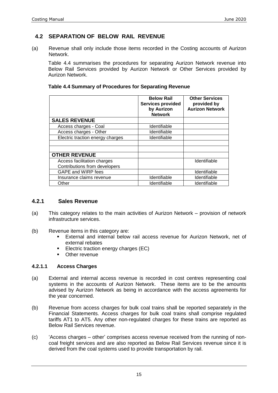#### **4.2 SEPARATION OF BELOW RAIL REVENUE**

(a) Revenue shall only include those items recorded in the Costing accounts of Aurizon Network.

Table 4.4 summarises the procedures for separating Aurizon Network revenue into Below Rail Services provided by Aurizon Network or Other Services provided by Aurizon Network.

#### **Table 4.4 Summary of Procedures for Separating Revenue**

|                                  | <b>Below Rail</b><br><b>Services provided</b><br>by Aurizon<br><b>Network</b> | <b>Other Services</b><br>provided by<br><b>Aurizon Network</b> |
|----------------------------------|-------------------------------------------------------------------------------|----------------------------------------------------------------|
| <b>SALES REVENUE</b>             |                                                                               |                                                                |
| Access charges - Coal            | Identifiable                                                                  |                                                                |
| Access charges - Other           | Identifiable                                                                  |                                                                |
| Electric traction energy charges | Identifiable                                                                  |                                                                |
|                                  |                                                                               |                                                                |
|                                  |                                                                               |                                                                |
| <b>OTHER REVENUE</b>             |                                                                               |                                                                |
| Access facilitation charges      |                                                                               | Identifiable                                                   |
| Contributions from developers    |                                                                               |                                                                |
| GAPE and WIRP fees               |                                                                               | Identifiable                                                   |
| Insurance claims revenue         | Identifiable                                                                  | Identifiable                                                   |
| Other                            | Identifiable                                                                  | Identifiable                                                   |

#### **4.2.1 Sales Revenue**

- (a) This category relates to the main activities of Aurizon Network provision of network infrastructure services.
- (b) Revenue items in this category are:
	- **External and internal below rail access revenue for Aurizon Network, net of** external rebates
	- Electric traction energy charges (EC)
	- Other revenue

#### **4.2.1.1 Access Charges**

- (a) External and internal access revenue is recorded in cost centres representing coal systems in the accounts of Aurizon Network. These items are to be the amounts advised by Aurizon Network as being in accordance with the access agreements for the year concerned.
- (b) Revenue from access charges for bulk coal trains shall be reported separately in the Financial Statements. Access charges for bulk coal trains shall comprise regulated tariffs AT1 to AT5. Any other non-regulated charges for these trains are reported as Below Rail Services revenue.
- (c) 'Access charges other' comprises access revenue received from the running of noncoal freight services and are also reported as Below Rail Services revenue since it is derived from the coal systems used to provide transportation by rail.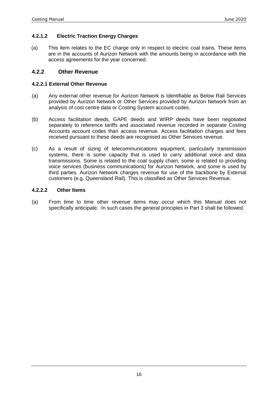#### **4.2.1.2 Electric Traction Energy Charges**

(a) This item relates to the EC charge only in respect to electric coal trains. These items are in the accounts of Aurizon Network with the amounts being in accordance with the access agreements for the year concerned.

#### **4.2.2 Other Revenue**

#### **4.2.2.1 External Other Revenue**

- (a) Any external other revenue for Aurizon Network is Identifiable as Below Rail Services provided by Aurizon Network or Other Services provided by Aurizon Network from an analysis of cost centre data or Costing System account codes.
- (b) Access facilitation deeds, GAPE deeds and WIRP deeds have been negotiated separately to reference tariffs and associated revenue recorded in separate Costing Accounts account codes than access revenue. Access facilitation charges and fees received pursuant to these deeds are recognised as Other Services revenue.
- (c) As a result of sizing of telecommunications equipment, particularly transmission systems, there is some capacity that is used to carry additional voice and data transmissions. Some is related to the coal supply chain, some is related to providing voice services (business communications) for Aurizon Network, and some is used by third parties. Aurizon Network charges revenue for use of the backbone by External customers (e.g. Queensland Rail). This is classified as Other Services Revenue.

#### **4.2.2.2 Other Items**

(a) From time to time other revenue items may occur which this Manual does not specifically anticipate. In such cases the general principles in Part 3 shall be followed.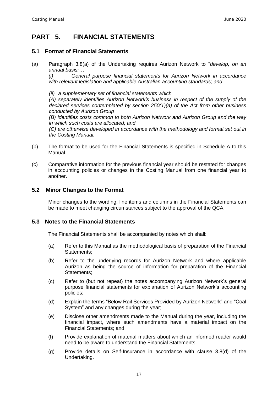### **PART 5. FINANCIAL STATEMENTS**

#### **5.1 Format of Financial Statements**

(a) Paragraph 3.8(a) of the Undertaking requires Aurizon Network to "*develop, on an annual basis:…*

*(i) General purpose financial statements for Aurizon Network in accordance with relevant legislation and applicable Australian accounting standards; and*

*(ii) a supplementary set of financial statements which* 

*(A) separately identifies Aurizon Network's business in respect of the supply of the declared services contemplated by section 250(1)(a) of the Act from other business conducted by Aurizon Group*

*(B) identifies costs common to both Aurizon Network and Aurizon Group and the way in which such costs are allocated; and* 

*(C) are otherwise developed in accordance with the methodology and format set out in the Costing Manual.*

- (b) The format to be used for the Financial Statements is specified in Schedule A to this Manual.
- (c) Comparative information for the previous financial year should be restated for changes in accounting policies or changes in the Costing Manual from one financial year to another.

#### **5.2 Minor Changes to the Format**

Minor changes to the wording, line items and columns in the Financial Statements can be made to meet changing circumstances subject to the approval of the QCA.

#### **5.3 Notes to the Financial Statements**

The Financial Statements shall be accompanied by notes which shall:

- (a) Refer to this Manual as the methodological basis of preparation of the Financial Statements;
- (b) Refer to the underlying records for Aurizon Network and where applicable Aurizon as being the source of information for preparation of the Financial Statements;
- (c) Refer to (but not repeat) the notes accompanying Aurizon Network's general purpose financial statements for explanation of Aurizon Network's accounting policies;
- (d) Explain the terms "Below Rail Services Provided by Aurizon Network" and "Coal System" and any changes during the year;
- (e) Disclose other amendments made to the Manual during the year, including the financial impact, where such amendments have a material impact on the Financial Statements; and
- (f) Provide explanation of material matters about which an informed reader would need to be aware to understand the Financial Statements.
- (g) Provide details on Self-Insurance in accordance with clause 3.8(d) of the Undertaking.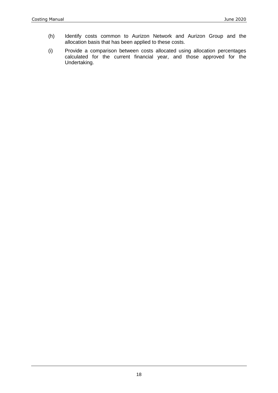- (h) Identify costs common to Aurizon Network and Aurizon Group and the allocation basis that has been applied to these costs.
- (i) Provide a comparison between costs allocated using allocation percentages calculated for the current financial year, and those approved for the Undertaking.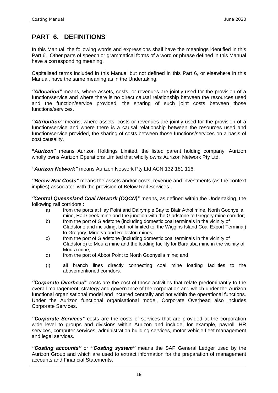### **PART 6. DEFINITIONS**

In this Manual, the following words and expressions shall have the meanings identified in this Part 6. Other parts of speech or grammatical forms of a word or phrase defined in this Manual have a corresponding meaning.

Capitalised terms included in this Manual but not defined in this Part 6, or elsewhere in this Manual, have the same meaning as in the Undertaking.

*"Allocation"* means, where assets, costs, or revenues are jointly used for the provision of a function/service and where there is no direct causal relationship between the resources used and the function/service provided, the sharing of such joint costs between those functions/services.

*"Attribution"* means, where assets, costs or revenues are jointly used for the provision of a function/service and where there is a causal relationship between the resources used and function/service provided, the sharing of costs between those functions/services on a basis of cost causality.

**"***Aurizon***"** means Aurizon Holdings Limited, the listed parent holding company. Aurizon wholly owns Aurizon Operations Limited that wholly owns Aurizon Network Pty Ltd.

*"Aurizon Network"* means Aurizon Network Pty Ltd ACN 132 181 116.

*"Below Rail Costs"* means the assets and/or costs, revenue and investments (as the context implies) associated with the provision of Below Rail Services.

*"Central Queensland Coal Network (CQCN)"* means, as defined within the Undertaking, the following rail corridors :

- a) from the ports at Hay Point and Dalrymple Bay to Blair Athol mine, North Goonyella mine, Hail Creek mine and the junction with the Gladstone to Gregory mine corridor;
- b) from the port of Gladstone (including domestic coal terminals in the vicinity of Gladstone and including, but not limited to, the Wiggins Island Coal Export Terminal) to Gregory, Minerva and Rolleston mines;
- c) from the port of Gladstone (including domestic coal terminals in the vicinity of Gladstone) to Moura mine and the loading facility for Baralaba mine in the vicinity of Moura mine;
- d) from the port of Abbot Point to North Goonyella mine; and
- (i) all branch lines directly connecting coal mine loading facilities to the abovementioned corridors.

*"Corporate Overhead"* costs are the cost of those activities that relate predominantly to the overall management, strategy and governance of the corporation and which under the Aurizon functional organisational model and incurred centrally and not within the operational functions. Under the Aurizon functional organisational model, Corporate Overhead also includes Corporate Services.

*"Corporate Services"* costs are the costs of services that are provided at the corporation wide level to groups and divisions within Aurizon and include, for example, payroll, HR services, computer services, administration building services, motor vehicle fleet management and legal services.

*"Costing accounts"* or *"Costing system"* means the SAP General Ledger used by the Aurizon Group and which are used to extract information for the preparation of management accounts and Financial Statements.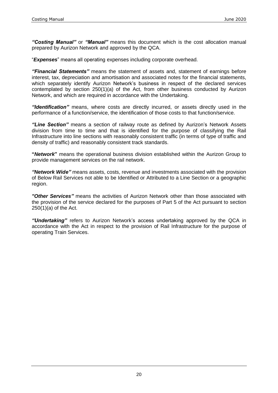*"Costing Manual"* or *"Manual"* means this document which is the cost allocation manual prepared by Aurizon Network and approved by the QCA.

"*Expenses*" means all operating expenses including corporate overhead.

*"Financial Statements"* means the statement of assets and, statement of earnings before interest, tax, depreciation and amortisation and associated notes for the financial statements, which separately identify Aurizon Network's business in respect of the declared services contemplated by section 250(1)(a) of the Act, from other business conducted by Aurizon Network, and which are required in accordance with the Undertaking.

*"Identification"* means, where costs are directly incurred, or assets directly used in the performance of a function/service, the identification of those costs to that function/service.

*"Line Section"* means a section of railway route as defined by Aurizon's Network Assets division from time to time and that is identified for the purpose of classifying the Rail Infrastructure into line sections with reasonably consistent traffic (in terms of type of traffic and density of traffic) and reasonably consistent track standards.

**"***Network***"** means the operational business division established within the Aurizon Group to provide management services on the rail network.

*"Network Wide"* means assets, costs, revenue and investments associated with the provision of Below Rail Services not able to be Identified or Attributed to a Line Section or a geographic region.

*"Other Services"* means the activities of Aurizon Network other than those associated with the provision of the service declared for the purposes of Part 5 of the Act pursuant to section 250(1)(a) of the Act.

*"Undertaking"* refers to Aurizon Network's access undertaking approved by the QCA in accordance with the Act in respect to the provision of Rail Infrastructure for the purpose of operating Train Services.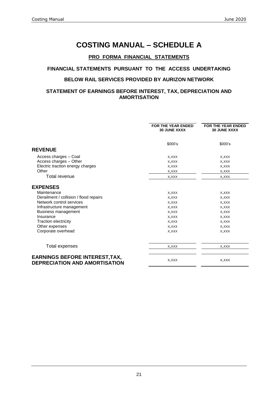## **COSTING MANUAL – SCHEDULE A**

#### **PRO FORMA FINANCIAL STATEMENTS**

#### **FINANCIAL STATEMENTS PURSUANT TO THE ACCESS UNDERTAKING**

#### **BELOW RAIL SERVICES PROVIDED BY AURIZON NETWORK**

#### **STATEMENT OF EARNINGS BEFORE INTEREST, TAX, DEPRECIATION AND AMORTISATION**

|                                                                        | <b>FOR THE YEAR ENDED</b><br><b>30 JUNE XXXX</b> | FOR THE YEAR ENDED<br><b>30 JUNE XXXX</b> |
|------------------------------------------------------------------------|--------------------------------------------------|-------------------------------------------|
|                                                                        | \$000's                                          | \$000's                                   |
| <b>REVENUE</b>                                                         |                                                  |                                           |
| Access charges - Coal                                                  | X, XXX                                           | X, XXX                                    |
| Access charges - Other                                                 | X, XXX                                           | X, XXX                                    |
| Electric traction energy charges                                       | X, XXX                                           | X, XXX                                    |
| Other                                                                  | X, XXX                                           | X, XXX                                    |
| Total revenue                                                          | X, XXX                                           | X, XXX                                    |
| <b>EXPENSES</b>                                                        |                                                  |                                           |
| Maintenance                                                            | X, XXX                                           | X, XXX                                    |
| Derailment / collision / flood repairs                                 | X, XXX                                           | X, XXX                                    |
| Network control services                                               | X, XXX                                           | X, XXX                                    |
| Infrastructure management                                              | X, XXX                                           | X, XXX                                    |
| <b>Business management</b>                                             | X, XXX                                           | X, XXX                                    |
| Insurance                                                              | X, XXX                                           | X, XXX                                    |
| <b>Traction electricity</b>                                            | X, XXX                                           | X, XXX                                    |
| Other expenses                                                         | X, XXX                                           | X, XXX                                    |
| Corporate overhead                                                     | X, XXX                                           | X, XXX                                    |
| Total expenses                                                         | X, XXX                                           | X, XXX                                    |
|                                                                        |                                                  |                                           |
| <b>EARNINGS BEFORE INTEREST, TAX,</b><br>DEPRECIATION AND AMORTISATION | X, XXX                                           | X, XXX                                    |

21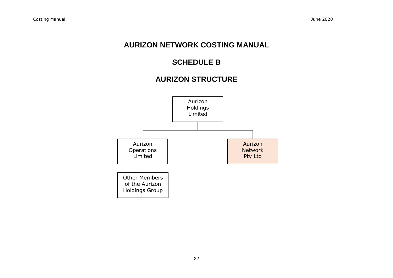# **AURIZON NETWORK COSTING MANUAL**

# **SCHEDULE B**

# **AURIZON STRUCTURE**

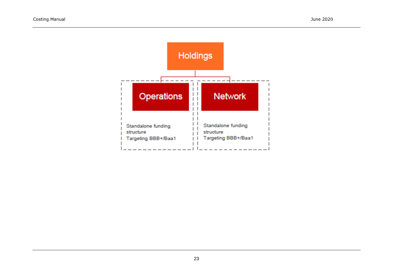